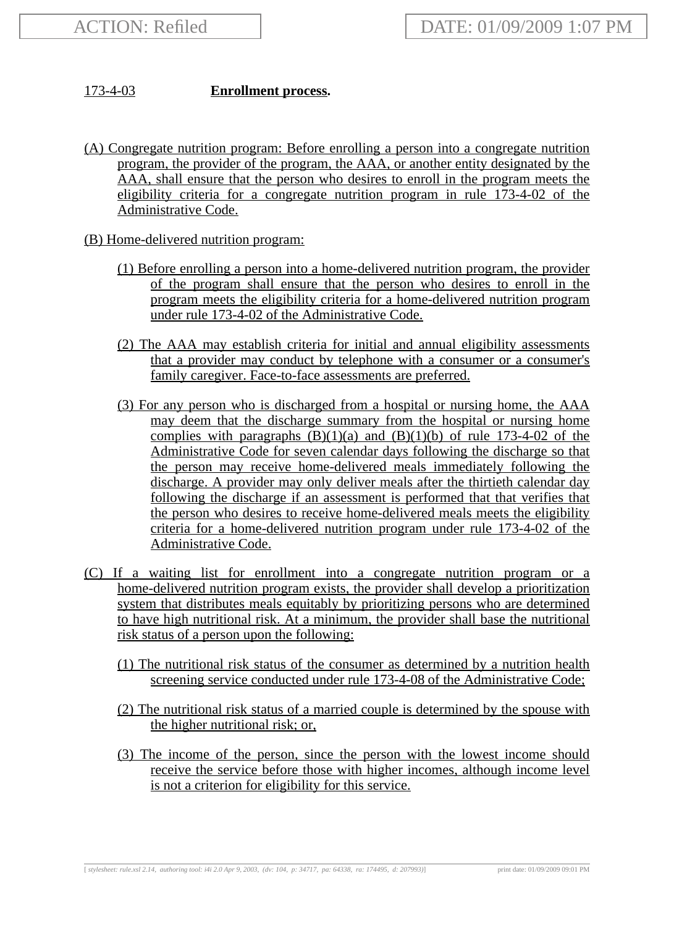## 173-4-03 **Enrollment process.**

- (A) Congregate nutrition program: Before enrolling a person into a congregate nutrition program, the provider of the program, the AAA, or another entity designated by the AAA, shall ensure that the person who desires to enroll in the program meets the eligibility criteria for a congregate nutrition program in rule 173-4-02 of the Administrative Code.
- (B) Home-delivered nutrition program:
	- (1) Before enrolling a person into a home-delivered nutrition program, the provider of the program shall ensure that the person who desires to enroll in the program meets the eligibility criteria for a home-delivered nutrition program under rule 173-4-02 of the Administrative Code.
	- (2) The AAA may establish criteria for initial and annual eligibility assessments that a provider may conduct by telephone with a consumer or a consumer's family caregiver. Face-to-face assessments are preferred.
	- (3) For any person who is discharged from a hospital or nursing home, the AAA may deem that the discharge summary from the hospital or nursing home complies with paragraphs  $(B)(1)(a)$  and  $(B)(1)(b)$  of rule 173-4-02 of the Administrative Code for seven calendar days following the discharge so that the person may receive home-delivered meals immediately following the discharge. A provider may only deliver meals after the thirtieth calendar day following the discharge if an assessment is performed that that verifies that the person who desires to receive home-delivered meals meets the eligibility criteria for a home-delivered nutrition program under rule 173-4-02 of the Administrative Code.
- (C) If a waiting list for enrollment into a congregate nutrition program or a home-delivered nutrition program exists, the provider shall develop a prioritization system that distributes meals equitably by prioritizing persons who are determined to have high nutritional risk. At a minimum, the provider shall base the nutritional risk status of a person upon the following:
	- (1) The nutritional risk status of the consumer as determined by a nutrition health screening service conducted under rule 173-4-08 of the Administrative Code;
	- (2) The nutritional risk status of a married couple is determined by the spouse with the higher nutritional risk; or,
	- (3) The income of the person, since the person with the lowest income should receive the service before those with higher incomes, although income level is not a criterion for eligibility for this service.